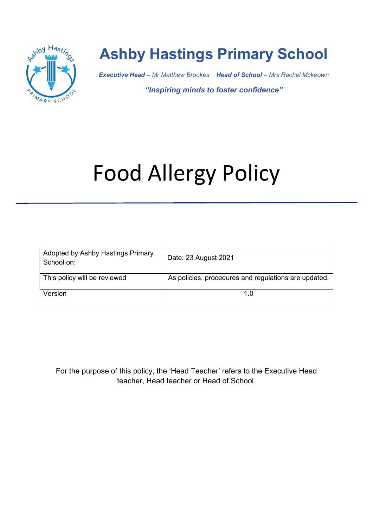

## Ashby Hastings Primary School

Executive Head – Mr Matthew Brookes Head of School – Mrs Rachel Mckeown

"Inspiring minds to foster confidence"

# Food Allergy Policy

| Adopted by Ashby Hastings Primary<br>School on: | Date: 23 August 2021                                 |
|-------------------------------------------------|------------------------------------------------------|
| This policy will be reviewed                    | As policies, procedures and regulations are updated. |
| Version                                         | 1 በ                                                  |

For the purpose of this policy, the 'Head Teacher' refers to the Executive Head teacher, Head teacher or Head of School.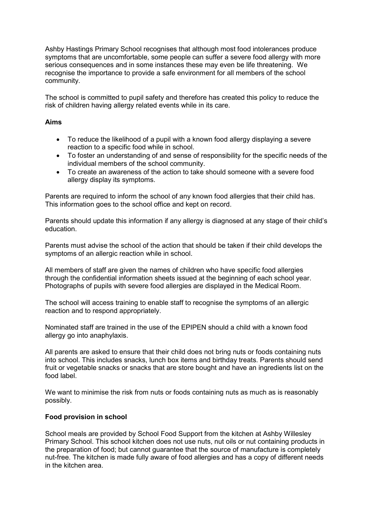Ashby Hastings Primary School recognises that although most food intolerances produce symptoms that are uncomfortable, some people can suffer a severe food allergy with more serious consequences and in some instances these may even be life threatening. We recognise the importance to provide a safe environment for all members of the school community.

The school is committed to pupil safety and therefore has created this policy to reduce the risk of children having allergy related events while in its care.

### Aims

- To reduce the likelihood of a pupil with a known food allergy displaying a severe reaction to a specific food while in school.
- To foster an understanding of and sense of responsibility for the specific needs of the individual members of the school community.
- To create an awareness of the action to take should someone with a severe food allergy display its symptoms.

Parents are required to inform the school of any known food allergies that their child has. This information goes to the school office and kept on record.

Parents should update this information if any allergy is diagnosed at any stage of their child's education.

Parents must advise the school of the action that should be taken if their child develops the symptoms of an allergic reaction while in school.

All members of staff are given the names of children who have specific food allergies through the confidential information sheets issued at the beginning of each school year. Photographs of pupils with severe food allergies are displayed in the Medical Room.

The school will access training to enable staff to recognise the symptoms of an allergic reaction and to respond appropriately.

Nominated staff are trained in the use of the EPIPEN should a child with a known food allergy go into anaphylaxis.

All parents are asked to ensure that their child does not bring nuts or foods containing nuts into school. This includes snacks, lunch box items and birthday treats. Parents should send fruit or vegetable snacks or snacks that are store bought and have an ingredients list on the food label.

We want to minimise the risk from nuts or foods containing nuts as much as is reasonably possibly.

#### Food provision in school

School meals are provided by School Food Support from the kitchen at Ashby Willesley Primary School. This school kitchen does not use nuts, nut oils or nut containing products in the preparation of food; but cannot guarantee that the source of manufacture is completely nut-free. The kitchen is made fully aware of food allergies and has a copy of different needs in the kitchen area.